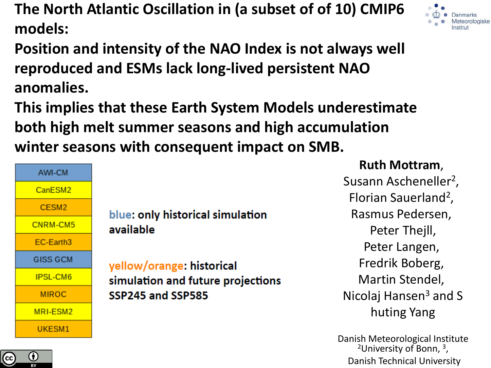**The North Atlantic Oscillation in (a subset of of 10) CMIP6 models:** 



**This implies that these Earth System Models underestimate both high melt summer seasons and high accumulation winter seasons with consequent impact on SMB.** 



BY

blue: only historical simulation available

yellow/orange: historical simulation and future projections SSP245 and SSP585

**Ruth Mottram**,

Susann Ascheneller<sup>2</sup>, Florian Sauerland<sup>2</sup>, Rasmus Pedersen, Peter Thejll, Peter Langen, Fredrik Boberg, Martin Stendel, Nicolaj Hansen<sup>3</sup> and S huting Yang

Danish Meteorological Institute <sup>2</sup>University of Bonn, <sup>3</sup>, Danish Technical University

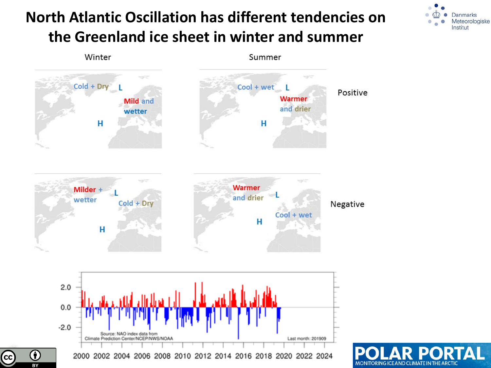## **North Atlantic Oscillation has different tendencies on the Greenland ice sheet in winter and summer**





 $\mathsf{cc}$ 

 $\overline{BY}$ 

MONITORING ICE AND CLIMATE IN THE ARCTIC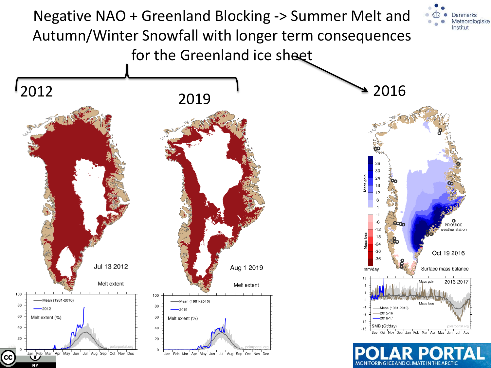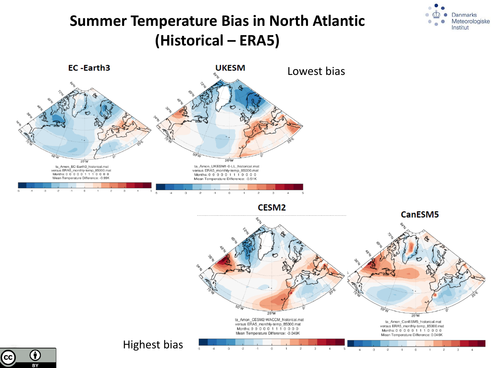### **Summer Temperature Bias in North Atlantic (Historical – ERA5)**



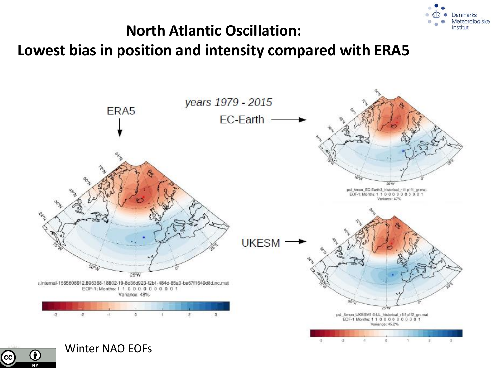

#### **North Atlantic Oscillation:**

#### **Lowest bias in position and intensity compared with ERA5**



Winter NAO EOFs

G)

BY

**CC**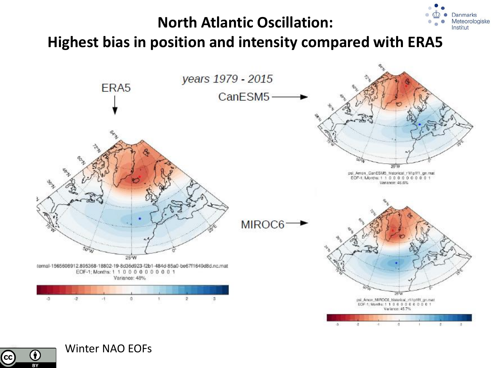#### **North Atlantic Oscillation:**

**Danmarks** Meteorologiske Institut





Winter NAO EOFs

 $\bf G$ 

 $\overline{BY}$ 

 $cc$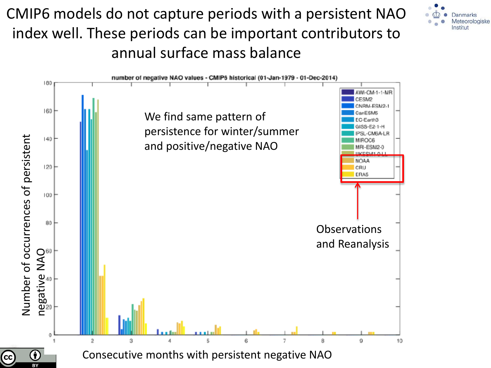CMIP6 models do not capture periods with a persistent NAO index well. These periods can be important contributors to annual surface mass balance



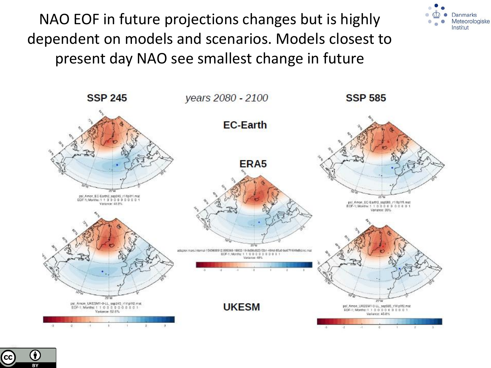NAO EOF in future projections changes but is highly dependent on models and scenarios. Models closest to present day NAO see smallest change in future



Danmarks Meteorologiske Institut